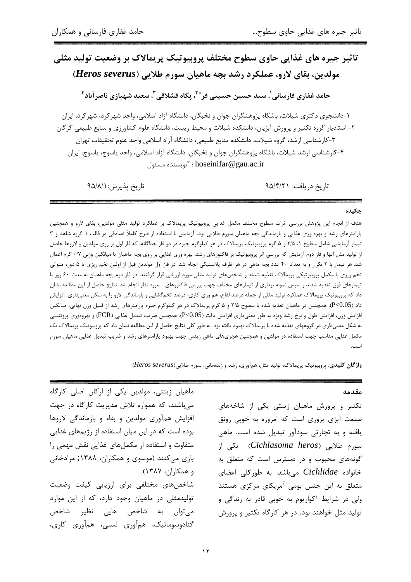# تاثیر جیره های غذایی حاوی سطوح مختلف پروبیوتیک پریمالاک بر وضعیت تولید مثلی مولدين، بقاي لارو، عملكرد رشد بچه ماهيان سورم طلايي (Heros severus) حامد غفاري فارساني'، سيد حسين حسيني فر $^3$  ، بِگاه قشلاقي ّ، سعيد شهبازي ناصر آباد ٔ

۱–دانشجوی دکتری شیلات، باشگاه پژوهشگران جوان و نخبگان، دانشگاه آزاد اسلامی، واحد شهر کرد، شهر کرد، ایران ۲- استادیار گروه تکثیر و پرورش آبزیان، دانشکده شیلات و محیط زیست، دانشگاه علوم کشاورزی و منابع طبیعی گرگان ۳-کارشناسی ارشد، گروه شیلات، دانشکده منابع طبیعی، دانشگاه آزاد اسلامی واحد علوم تحقیقات تهران ۴-کارشناسی ارشد شیلات، باشگاه پژوهشگران جوان و نخبگان، دانشگاه آزاد اسلامی، واحد یاسوج، یاسوج، ایران hoseinifar@gau.ac.ir : "نويسنده مسئول

تاريخ پذيرش: ٩۵/٨/١

تاریخ دریافت: ۹۵/۴/۲۱

#### حكىدە

هدف از انجام این پژوهش بررسی اثرات سطوح مختلف مکمل غذایی پروبیوتیک پریمالاک بر عملکرد تولید مثلی مولدین، بقای لارو و همچنین پارامترهای رشد و بهره وری غذایی و بازماندگی بچه ماهیان سورم طلایی بود. آزمایش با استفاده از طرح کاملاً تصادفی در قالب ۱ گروه شاهد و ۳ تیمار آزمایشی شامل سطوح ۱، ۲/۵ و ۵ گرم پروبیوتیک پریمالاک در هر کیلوگرم جیره در دو فاز جداگانه، که فاز اول بر روی مولدین و لاروها حاصل از تولید مثل آنها و فاز دوم آزمایش که بررسی اثر پروبیوتیک بر فاکتورهای رشد، بهره وری غذایی بر روی بچه ماهیان با میانگین وزنی ۰/۷ گرم اعمال شد. هر تیمار با ۳ تکرار و به تعداد ۴۰ عدد بچه ماهی در هر ظرف پلاستیکی انجام شد. در فاز اول مولدین قبل از اولین تخم ریزی تا ۵ دوره متوالی تخم ریزی با مکمل پروبیوتیکی پریمالاک تغذیه شدند و شاخصهای تولید مثلی مورد ارزیابی قرار گرفتند. در فاز دوم بچه ماهیان به مدت ۶۰ روز با تیمارهای فوق تغذیه شدند و سپس نمونه برداری از تیمارهای مختلف جهت بررسی فاکتورهای - مورد نظر انجام شد. نتایج حاصل از این مطالعه نشان داد که پروبیوتیک پریمالاک عملکرد تولید مثلی از جمله درصد لقاح، همآوری کاری، درصد تخم\$شایی و بازماندگی لارو را به شکل معنیداری افزایش داد (P<0.05). همچنین در ماهیان تغذیه شده با سطوح ۲/۵ و ۵ گرم پریمالاک در هر کیلوگرم جیره پارامترهای رشد از قبیل وزن نهایی، میانگین افزایش وزن، افزایش طول و نرخ رشد ویژه به طور معنیداری افزایش یافت (P<0.05). همچنین ضریب تبدیل غذایی (FCR) و بهروموری پروتئینی به شکل معنیداری در گروههای تغذیه شده با پریمالاک بهبود یافته بود. به طور کلی نتایج حاصل از این مطالعه نشان داد که پروبیوتیک پریمالاک یک مکمل غذایی مناسب جهت استفاده در مولدین و همچنین هچریهای ماهی زینتی جهت بهبود پارامترهای رشد و ضریب تبدیل غذایی ماهیان سورم أستعب

واژگان کلیدی: پروبیوتیک پریمالاک، تولید مثل، همآوری، رشد و زندهمانی، سورم طلایی (Heros severus)

### مقدمه

تکثیر و پرورش ماهیان زینتی یکی از شاخههای صنعت آبزی پروری است که امروزه به خوبی رونق یافته و به تجارتی سودآور تبدیل شده است. ماهی سورم طلایی (Cichlasoma heros) یکی از گونههای محبوب و در دسترس است که متعلق به خانواده Cichlidae میباشد. به طورکلی اعضای متعلق به این جنس بومی آمریکای مرکزی هستند ولي در شرايط آكواريوم به خوبي قادر به زندگي و تولید مثل خواهند بود. در هر کارگاه تکثیر و پرورش

ماهیان زینتی، مولدین یکی از ارکان اصلی کارگاه می باشند، که همواره تلاش مدیریت کارگاه در جهت افزایش همآوری مولدین و بقاء و بازماندگی لاروها بوده است که در این میان استفاده از رژیمهای غذایی متفاوت و استفاده از مکملهای غذایی نقش مهمی را بازی میکنند (موسوی و همکاران، ۱۳۸۸; مرادخانی و همكاران، ١٣٨٧). شاخصهای مختلفی برای ارزیابی کیفت وضعیت تولیدمثلی در ماهیان وجود دارد، که از این موارد مي توان به شاخص هايي نظير شاخص گنادوسوماتیک، همآوری نسبی، همآوری کاری،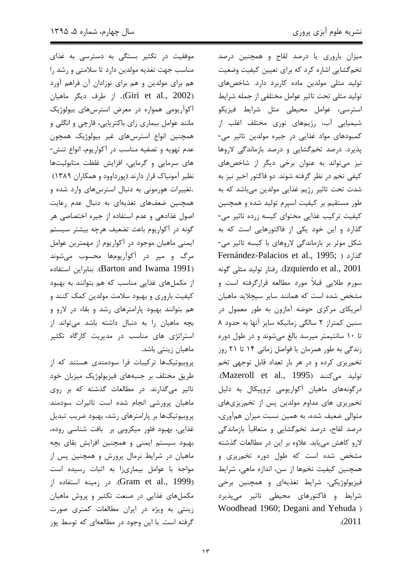موفقیت در تکثیر بستگی به دسترسی به غذای مناسب جهت تغذیه مولدین دارد تا سلامتی و رشد را هم برای مولدین و هم برای نوزادان آن فراهم آورد (Giri et al., 2002). از طرف ديگر ماهيان آکوآریومی همواره در معرض استرسهای بیولوژیک مانند عوامل بیماری زای باکتریایی، قارچی و انگلی و همچنین انواع استرسهای غیر بیولوژیک همچون عدم تهويه و تصفيه مناسب در آكواريوم، انواع تنش-های سرمایی و گرمایی، افزایش غلظت متابولیتها نظیر آمونیاک قرار دارند (پورداوود و همکاران ۱۳۸۹) .تغییرات هورمونی به دنبال استرسهای وارد شده و همچنین ضعفهای تغذیهای به دنبال عدم رعایت اصول غذادهی و عدم استفاده از جیره اختصاصی هر گونه در آکواریوم باعث تضعیف هرچه بیشتر سیستم ایمنی ماهیان موجود در آکواریوم از مهمترین عوامل مرگ و میر در آکوآریومها محسوب می شوند (Barton and Iwama 1991). بنابراين استفاده از مکملهای غذایی مناسب که هم بتوانند به بهبود کیفیت باروری و بهبود سلامت مولدین کمک کنند و هم بتوانند بهبود پارامترهای رشد و بقاء در لارو و بچه ماهیان را به دنبال داشته باشد میتواند از استراتژی های مناسب در مدیریت کارگاه تکثیر ماهیان زینتی باشد.

پروبیوتیکها ترکیبات فرا سودمندی هستند که از طریق مختلف بر جنبههای فیزیولوژیک میزبان خود تاثیر میگذارند. در مطالعات گذشته که بر روی ماهیان پرورشی انجام شده است تاثیرات سودمند پروبیوتیکها بر پارامترهای رشد، بهبود ضریب تبدیل غذایی، بهبود فلور میکروبی بر بافت شناسی روده، بهبود سیستم ایمنی و همچنین افزایش بقای بچه ماهیان در شرایط نرمال پرورش و همچنین پس از مواجه با عوامل بیماریزا به اثبات رسیده است (Gram et al., 1999). در زمينه استفاده از مکملهای غذایی در صنعت تکثیر و پروش ماهیان زینتی به ویژه در ایران مطالعات کمتری صورت گرفته است. با این وجود در مطالعهای که توسط پور میزان باروری یا درصد لقاح و همچنین درصد تخم گشایی اشاره کرد که برای تعیین کیفیت وضعیت تولید مثلی مولدین ماده کاربرد دارد. شاخصهای تولید مثلی تحت تاثیر عوامل مختلفی از جمله شرایط استرسی، عوامل محیطی مثل شرایط فیزیکو شیمیایی آب، رژیمهای نوری مختلف اغلب از کمبودهای مواد غذایی در جیره مولدین تاثیر می-پذیرد. درصد تخمگشایی و درصد بازماندگی لاروها نيز مي تواند به عنوان برخي ديگر از شاخصهاي کیفی تخم در نظر گرفته شوند. دو فاکتور اخیر نیز به شدت تحت تاثیر رژیم غذایی مولدین میباشد که به طور مستقیم بر کیفیت اسپرم تولید شده و همچنین کیفیت ترکیب غذایی محتوای کیسه زرده تاثیر می-گذارد و این خود یکی از فاکتورهایی است که به شکل موثر بر بازماندگی لاروهای با کیسه تاثیر می-Fernández-Palacios et al., 1995; ) گذارد Izquierdo et al., 2001). رفتار توليد مثلى گونه سورم طلایی قبلاً مورد مطالعه قرارگرفته است و مشخص شده است که همانند سایر سیچلاید ماهیان آمریکای مرکزی حوضه آمازون به طور معمول در سنین کمتراز ۲ سالگی زمانیکه سایز آنها به حدود ۸ تا ١٠ سانتيمتر ميرسد بالغ مي شوند و در طول دوره زندگی به طور همزمان با فواصل زمانی ۱۴ تا ۲۱ روز تخم ریزی کرده و در هر بار تعداد قابل توجهی تخم توليد مي كنند (Mazeroll et al., 1995). درگونههای ماهیان آکواریومی تروپیکال به دلیل تخمریزی های مداوم مولدین پس از تخمریزیهای متوالي ضعيف شده، به همين نسبت ميزان همآوري، درصد لقاح، درصد تخم گشایی و متعاقباً بازماندگی لارو کاهش مییابد. علاوه بر این در مطالعات گذشته مشخص شده است که طول دوره تخمریزی و همچنین کیفیت تخمها از سن، اندازه ماهی، شرایط فيزيولوژيكى، شرايط تغذيهاى و همچنين برخى شرایط و فاکتورهای محیطی تاثیر میپذیرد Woodhead 1960; Degani and Yehuda )  $.2011$ 

 $\gamma$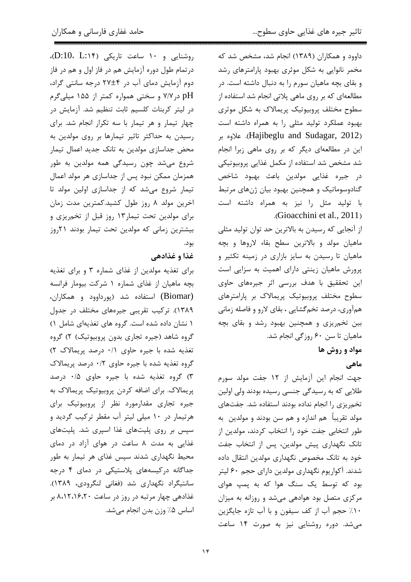$(D:10, L:15)$  روشنایی و ۱۰ ساعت تاریکی (D:10، L درتمام طول دوره آزمایش هم در فاز اول و هم در فاز دوم آزمایش دمای آب در ۲۴±۲۷ درجه سانتی گراد، pH در ۷/۷ و سختی همواره کمتر از ۱۵۵ میلیگرم در ليتر كربنات كلسيم ثابت تنظيم شد. آزمايش در چهار تیمار و هر تیمار با سه تکرار انجام شد. برای رسیدن به حداکثر تاثیر تیمارها بر روی مولدین به محض جداسازی مولدین به تانک جدید اعمال تیمار شروع می شد چون رسیدگی همه مولدین به طور همزمان ممكن نبود پس از جداسازى هر مولد اعمال تیمار شروع میشد که از جداسازی اولین مولد تا اخرین مولد ۸ روز طول کشید.کمترین مدت زمان برای مولدین تحت تیمار ۱۳ روز قبل از تخمریزی و بیشترین زمانی که مولدین تحت تیمار بودند ۲۱روز بود.

### غذا و غذادهي

برای تغذیه مولدین از غذای شماره ۳ و برای تغذیه بچه ماهیان از غذای شماره ۱ شرکت بیومار فرانسه (Biomar) استفاده شد (پورداوود و همکاران، ۱۳۸۹). ترکیب تقریبی جیرههای مختلف در جدول ١ نشان داده شده است. گروه های تغذیهای شامل ١) گروه شاهد (جیره تجاری بدون پروبیوتیک) ۲) گروه تغذیه شده با جیره حاوی ۰/۱ درصد پریمالاک ۲) گروه تغذیه شده با جیره حاوی ۰/۲ درصد پریمالاک ۳) گروه تغذیه شده با جیره حاوی ۰/۵ درصد پریمالاک. برای اضافه کردن پروبیوتیک پریمالاک به جیره تجاری مقدارمورد نظر از پروبیوتیک برای هرتیمار در ۱۰ میلی لیتر آب مقطر ترکیب گردید و سپس بر روی پلیتهای غذا اسپری شد. پلیتهای غذایی به مدت ۸ ساعت در هوای آزاد در دمای محیط نگهداری شدند سیس غذای هر تیمار به طور جداگانه درکیسههای پلاستیکی در دمای ۴ درجه سانتیگراد نگهداری شد (فغانی لنگرودی، ۱۳۸۹). غذادهی چهار مرتبه در روز در ساعت ۸،۱۲،۱۶،۲۰ بر اساس ۵٪ وزن بدن انجام مے شد.

داوود و همکاران (۱۳۸۹) انجام شد، مشخص شد که مخمر نانوایی به شکل موثری بهبود پارامترهای رشد و بقای بچه ماهیان سورم را به دنبال داشته است. در مطالعهای که بر روی ماهی پلاتی انجام شد استفاده از سطوح مختلف پروبیوتیک پریمالاک به شکل موثری بهبود عملكرد توليد مثلى را به همراه داشته است Hajibeglu and Sudagar, 2012). علاوه بر این در مطالعهای دیگر که بر روی ماهی زبرا انجام شد مشخص شد استفاده از مکمل غذایی پروبیوتیکی در جيره غذايي مولدين باعث بهبود شاخص گنادوسوماتیک و همچنین بهبود بیان ژنهای مرتبط با تولید مثل را نیز به همراه داشته است .(Gioacchini et al., 2011)

از آنجایی که رسیدن به بالاترین حد توان تولید مثلی ماهيان مولد و بالاترين سطح بقاء لاروها و بچه ماهیان تا رسیدن به سایز بازاری در زمینه تکثیر و پرورش ماهیان زینتی دارای اهمیت به سزایی است این تحققیق با هدف بررسی اثر جیرههای حاوی سطوح مختلف پروبیوتیک پریمالاک بر پارامترهای همآوری، درصد تخم5شایی ، بقای لارو و فاصله زمانی بین تخمریزی و همچنین بهبود رشد و بقای بچه ماهیان تا سن ۶۰ روزگی انجام شد.

## مواد و روش ها

### ماهي

جهت انجام این آزمایش از ۱۲ جفت مولد سورم طلایی که به رسیدگی جنسی رسیده بودند ولی اولین تخمریزی را انجام نداده بودند استفاده شد. جفتهای مولد تقریباً هم اندازه و هم سن بودند و مولدین به طور انتخابی جفت خود را انتخاب کردند، مولدین از تانک نگهداری پیش مولدین، پس از انتخاب جفت خود به تانک مخصوص نگهداری مولدین انتقال داده شدند. آکواریوم نگهداری مولدین دارای حجم ۶۰ لیتر بود که توسط یک سنگ هوا که به پمپ هوای مرکزی متصل بود هوادهی می شد و روزانه به میزان ١٠٪ حجم آب از كف سيفون و با آب تازه جايگزين می شد. دوره روشنایی نیز به صورت ۱۴ ساعت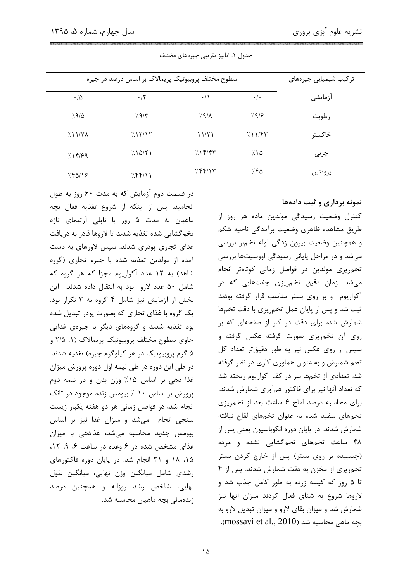| سطوح مختلف پروبیوتیک پریمالاک بر اساس درصد در جیره | ترکیب شیمیایی جیرەهای |               |                   |           |
|----------------------------------------------------|-----------------------|---------------|-------------------|-----------|
| $\cdot/\Delta$                                     | $\cdot$ /۲            | $\cdot/$      | $\cdot$ / $\cdot$ | آزمايشى   |
| 7.9/0                                              | 7.9/5                 | $7.9/\lambda$ | 7.979             | رطوبت     |
| 7.11/VA                                            | 7.15/15               | 11/51         | 7.11              | خاكستر    |
| 7.1899                                             | 7.10/71               | $7.1$ ۴/۴۳    | 7.10              | چربی      |
| 7.8018                                             | 7.88/11               | 7.88/17       | ۶۴۵:              | پر و تئين |

جدول ١: آناليز تقريبي جيرههاي مختلف

نمونه برداری و ثبت دادهها

انجامید، پس از اینکه از شروع تغذیه فعال بچه ماهیان به مدت ۵ روز با ناپلی آرتیمای تازه تخم گشایی شده تغذیه شدند تا لاروها قادر به دریافت غذای تجاری یودری شدند. سیس لاورهای به دست آمده از مولدین تغذیه شده با جیره تجاری (گروه شاهد) به ۱۲ عدد آکواریوم مجزا که هر گروه که شامل ۵۰ عدد لارو بود به انتقال داده شدند. این بخش از آزمایش نیز شامل ۴ گروه به ۳ نکرار بود. یک گروه با غذای تجاری که بصورت یودر تبدیل شده بود تغذیه شدند و گروههای دیگر با جیرهی غذایی حاوی سطوح مختلف پروبیوتیک پریمالاک (۱، ۲/۵ و ۵ گرم پروبیوتیک در هر کیلوگرم جیره) تغذیه شدند. در طی این دوره در طی نیمه اول دوره پرورش میزان غذا دهی بر اساس ۱۵٪ وزن بدن و در نیمه دوم پرورش بر اساس ۱۰ ٪ بیومس زنده موجود در تانک انجام شد، در فواصل زمانی هر دو هفته یکبار زیست سنجی انجام می شد و میزان غذا نیز بر اساس بیومس جدید محاسبه می شد، غذادهی با میزان غذای مشخص شده در ۶ وعده در ساعت ۶، ۰۹، ۱۲، ۱۵، ۱۸ و ۲۱ انجام شد. در پایان دوره فاکتورهای رشدی شامل میانگین وزن نهایی، میانگین طول نهایی، شاخص رشد روزانه و همچنین درصد زندەمانى بچە ماھيان محاسبە شد.

در قسمت دوم آزمایش که به مدت ۶۰ روز به طول

کنترل وضعیت رسیدگی مولدین ماده هر روز از طريق مشاهده ظاهري وضعيت برأمدكي ناحيه شكم و همچنین وضعیت بیرون زدگی لوله تخمبر بررسی می شد و در مراحل پایانی رسیدگی اووسیتها بررسی تخمریزی مولدین در فواصل زمانی کوتاهتر انجام میشد. زمان دقیق تخم,ریزی جفتهایی که در آکواریوم و بر روی بستر مناسب قرار گرفته بودند ثبت شد و پس از پایان عمل تخمریزی با دقت تخمها شمارش شد، برای دقت در کار از صفحهای که بر روی آن تخمریزی صورت گرفته عکس گرفته و سپس از روی عکس نیز به طور دقیقتر تعداد کل تخم شمارش و به عنوان هماوری کاری در نظر گرفته شد. تعدادی از تخمها نیز در کف آکواریوم ریخته شد كه تعداد آنها نيز براي فاكتور همآوري شمارش شدند. برای محاسبه درصد لقاح ۶ ساعت بعد از تخمریزی تخمهای سفید شده به عنوان تخمهای لقاح نیافته شمارش شدند. در پایان دوره انکوباسیون یعنی پس از ۴۸ ساعت تخمهای تخمگشایی نشده و مرده (چسبیده بر روی بستر) پس از خارج کردن بستر تخم ریزی از مخزن به دقت شمارش شدند. پس از ۴ تا ۵ روز که کیسه زرده به طور کامل جذب شد و لاروها شروع به شنای فعال کردند میزان آنها نیز شمارش شد و میزان بقای لارو و میزان تبدیل لارو به بجه ماهی محاسبه شد (mossavi et al., 2010).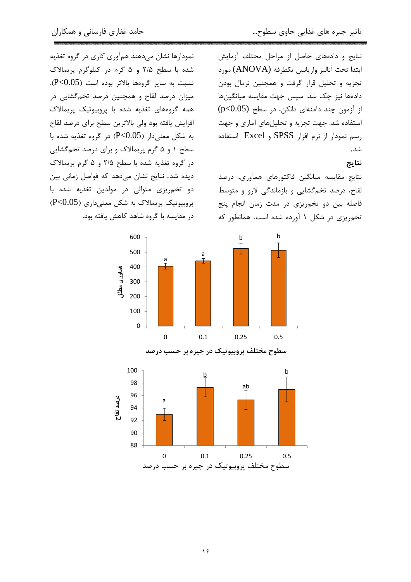نمودارها نشان میدهند همآوری کاری در گروه تغذیه

شده با سطح ۲/۵ و ۵ گرم در کیلوگرم پریمالاک

نسبت به سایر گروهها بالاتر بوده است (P<0.05).

میزان درصد لقاح و همچنین درصد تخمگشایی در همه گروههای تغذیه شده با پروبیوتیک پریمالاک

افزایش یافته بود ولی بالاترین سطح برای درصد لقاح

به شکل معنی دار (P<0.05) در گروه تغذیه شده با سطح ۱ و ۵ گرم پریمالاک و برای درصد تخمگشایی

در گروه تغذيه شده با سطح ٢/۵ و ۵ گرم پريمالاک

نتایج و دادههای حاصل از مراحل مختلف آزمایش ابتدا تحت آناليز واريانس يكطرفه (ANOVA) مورد تجزیه و تحلیل قرار گرفت و همچنین نرمال بودن دادهها نیز چک شد. سپس جهت مقایسه میانگینها از آزمون چند دامنهای دانکن، در سطح (p<0.05) استفاده شد. جهت تجزیه و تحلیلهای آماری و جهت رسم نمودار از نرم افزار SPSS و Excel استفاده شد.

### نتايج

نتايج مقايسه ميانگين فاكتورهاى همآورى، درصد لقاح، درصد تخم گشایی و بازماندگی لارو و متوسط فاصله بین دو تخمریزی در مدت زمان انجام پنج تخم یزی در شکل ۱ آورده شده است. همانطور که





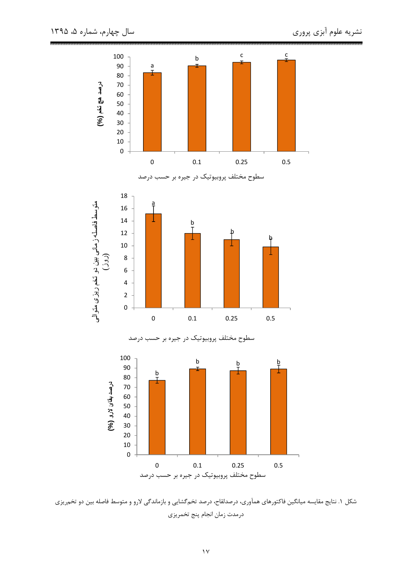

شکل ۱. نتایج مقایسه میانگین فاکتورهای همآوری، درصدلقاح، درصد تخمگشایی و بازماندگی لارو و متوسط فاصله بین دو تخمریزی درمدت زمان انجام پنج تخمريزي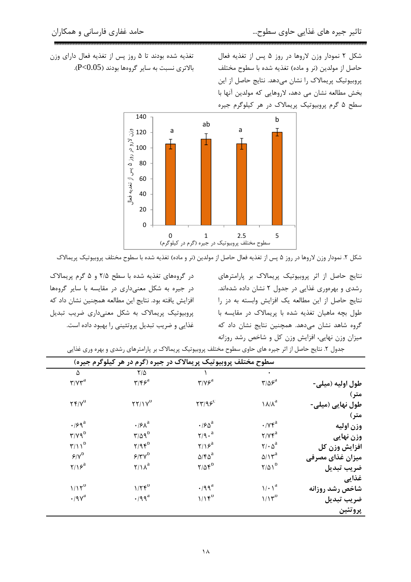شکل ۲ نمودار وزن لاروها در روز ۵ پس از تغذیه فعال حاصل از مولدين (نر و ماده) تغذيه شده با سطوح مختلف پروبیوتیک پریمالاک را نشان میدهد. نتایج حاصل از این بخش مطالعه نشان می دهد، لاروهایی که مولدین آنها با سطح ۵ گرم پروبیوتیک پریمالاک در هر کیلوگرم جیره

تغذیه شده بودند تا ۵ روز پس از تغذیه فعال دارای وزن بالاترى نسبت به ساير گروهها بودند (P<0.05).



شکل ۲. نمودار وزن لاروها در روز ۵ پس از تغذیه فعال حاصل از مولدین (نر و ماده) تغذیه شده با سطوح مختلف پروبیوتیک پریمالاک

نتایج حاصل از اثر پروبیوتیک پریمالاک بر پارامترهای رشدی و بهرهوری غذایی در جدول ۲ نشان داده شدهاند. نتايج حاصل از اين مطالعه يک افزايش وابسته به دز را طول بچه ماهیان تغذیه شده با پریمالاک در مقایسه با گروه شاهد نشان می دهد. همچنین نتایج نشان داد که میزان وزن نهایی، افزایش وزن کل و شاخص رشد روزانه

در گروههای تغذیه شده با سطح ۲/۵ و ۵ گرم پریمالاک در جیره به شکل معنیداری در مقایسه با سایر گروهها افزایش یافته بود. نتایج این مطالعه همچنین نشان داد که پروبیوتیک پریمالاک به شکل معنیداری ضریب تبدیل غذایی و ضریب تبدیل پروتئینی را بهبود داده است.

| سطوح مختلف پروبیوتیک پریمالاک در جیره (گرم در هر کیلوگرم جیره) |                                  |                                                              |                                                 |                  |  |  |  |
|----------------------------------------------------------------|----------------------------------|--------------------------------------------------------------|-------------------------------------------------|------------------|--|--|--|
| ۵                                                              | $Y/\Delta$                       |                                                              | $\bullet$                                       |                  |  |  |  |
| $\mathbf{r}/\mathbf{v}\mathbf{r}^{\mathrm{a}}$                 | $\mathbf{y}/\mathbf{z}$          | $\mathbf{y}/\mathbf{y}\mathbf{z}^{\mathrm{a}}$               | $\mathbf{r}/\mathbf{r}^{\mathrm{a}}$            | طول اوليه (ميلي- |  |  |  |
|                                                                |                                  |                                                              |                                                 | متر)             |  |  |  |
| $\Upsilon \Upsilon / \Upsilon^d$                               | $\Upsilon \Upsilon / \Upsilon^D$ | $\mathbf{Y} \mathbf{Y} / \mathbf{Q} \mathbf{S}^{\mathbf{C}}$ | $\lambda/\lambda^a$                             | طول نهایی (میلی- |  |  |  |
|                                                                |                                  |                                                              |                                                 | متر)             |  |  |  |
| $\cdot$ / $59^{\mathrm{a}}$                                    | $\cdot$ / $\epsilon \lambda^a$   | $\cdot$ / $5\delta^a$                                        | $\cdot$ / $\gamma \gamma^a$                     | وزن اوليه        |  |  |  |
| $\Upsilon/\Upsilon q^D$                                        | $\Upsilon/\Delta q^D$            | $\gamma$ /9. <sup>a</sup>                                    | $\mathbf{Y}/\mathbf{Y}\mathbf{F}^{\text{a}}$    | وزن نهایی        |  |  |  |
| $\Upsilon/\Upsilon^D$                                          | $Y/9$ $6^D$                      | $\gamma/\gamma$ <sup>a</sup>                                 | $\mathbf{Y}/\cdot \mathbf{\Delta}^{\mathbf{a}}$ | افزايش وزن كل    |  |  |  |
| $S/V^D$                                                        | $5/\gamma \gamma^0$              | $\Delta$ /۴ $\Delta^a$                                       | $\Delta/\Upsilon^a$                             | میزان غذای مصرفی |  |  |  |
| $\gamma/\gamma$ <sup>a</sup>                                   | $\Upsilon/\Upsilon^a$            | $Y/\Delta \mathfrak{r}^{\mathsf{D}}$                         | $Y/\Delta Y^D$                                  | ضريب تبديل       |  |  |  |
|                                                                |                                  |                                                              |                                                 | غذايي            |  |  |  |
| $1/17^D$                                                       | $1/\Upsilon \mathfrak{f}^D$      | $\cdot$ /99 <sup>a</sup>                                     | $\sqrt{\cdot \gamma^a}$                         | شاخص رشد روزانه  |  |  |  |
| $\cdot$ /9 $v^a$                                               | $\cdot$ /99 $^a$                 | $1/1$ $f^D$                                                  | $1/15^D$                                        | ضريب تبديل       |  |  |  |
|                                                                |                                  |                                                              |                                                 | پروتئين          |  |  |  |

جدول ۲. نتایج حاصل از اثر جیره های حاوی سطوح مختلف پروبیوتیک پریمالاک بر پارامترهای رشدی و بهره وری غذایی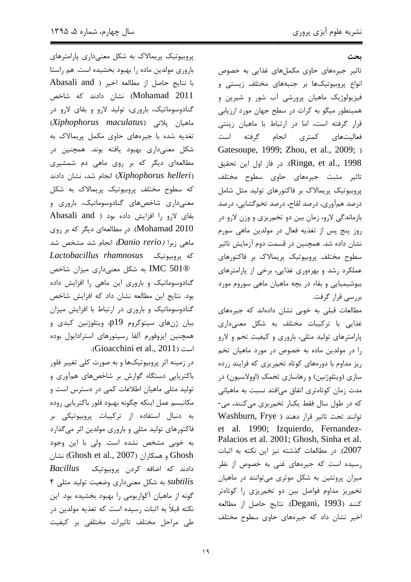سال چهارم، شماره ۵، ۱۳۹۵

بحث

تاثیر جیرههای حاوی مکملهای غذایی به خصوص انواع پروبیوتیکها بر جنبههای مختلف زیستی و فیزیولوژیک ماهیان پرورشی آب شور و شیرین و همینطور میگو به کرات در سطح جهان مورد ارزیابی قرار گرفته است، اما در ارتباط با ماهیان زینتی فعالیتهای کمتری انجام گرفته است Gatesoupe, 1999; Zhou, et al., 2009; ) Ringø, et al., 1998). در فاز اول این تحقیق تاثیر مثبت جیرههای حاوی سطوح مختلف پروبیوتیک پریمالاک بر فاکتورهای تولید مثل شامل درصد همآوري، درصد لقاح، درصد تخم گشايي، درصد بازماندگی لارو، زمان بین دو تخمریزی و وزن لارو در روز پنج پس از تغذیه فعال در مولدین ماهی سورم نشان داده شد. همچنین در قسمت دوم آزمایش تاثیر سطوح مختلف پروبیوتیک پریمالاک بر فاکتورهای عملکرد رشد و بهرهوری غذایی، برخی از پارامترهای بیوشیمیایی و بقاء در بچه ماهیان ماهی سوروم مورد بررسي قرار گرفت.

مطالعات قبلی به خوبی نشان دادهاند که جیرههای غذایی با ترکیبات مختلف به شکل معنیداری یارامترهای تولید مثلی، باروری و کیفیت تخم و لارو را در مولدین ماده به خصوص در مورد ماهیان تخم ریز مداوم با دورههای کوتاه تخمریزی که فرایند زرده سازی (ویتلوژنین) و رهاسازی تخمک (اوولاسیون) در مدت زمان کوتاهتری اتفاق میافتد نسبت به ماهیانی که در طول سال فقط یکبار تخمریزی میکنند، می-Telium, Frye ) توانند تحت تاثير قرار دهند ( Washburn, Frye et al. 1990; Izquierdo, Fernandez-Palacios et al. 2001; Ghosh, Sinha et al. 2007). در مطالعات گذشته نیز این نکته به اثبات رسیده است که جیرههای غنی به خصوص از نظر میزان پروتئین به شکل موثری میتوانند در ماهیان تخم,ریز مداوم فواصل بین دو تخم,ریزی را کوتاهتر كنند (Degani, 1993). نتايج حاصل از مطالعه اخیر نشان داد که جیرههای حاوی سطوح مختلف

پروبیوتیک پریمالاک به شکل معنیداری پارامترهای باروری مولدین ماده را بهبود بخشیده است. هم راستا با نتايج حاصل از مطالعه اخير ( Abasali and Mohamad 2011) نشان دادند که شاخص گنادوسوماتیک، باروری، تولید لارو و بقای لارو در ماهیان یلاتی (Xiphophorus maculatus) تغدیه شده با جیرههای حاوی مکمل پریمالاک به شکل معنیداری بهبود یافته بوند. همچنین در مطالعهای دیگر که بر روی ماهی دم شمشیری (Xiphophorus helleri) انجام شد، نشان دادند که سطوح مختلف پروبیوتیک پریمالاک به شکل معنیداری شاخصهای گنادوسوماتیک، باروری و بقای لارو را افزایش داده بود ( Abasali and Mohamad 2010). در مطالعهای دیگر که بر روی ماهی زبرا *(Danio rerio)* انجام شد مشخص شد كه پروبيوتيك Lactobacillus rhamnosus IMC 501® به شکل معنیداری میزان شاخص گنادوسوماتیک و باروری این ماهی را افزایش داده بود. نتايج اين مطالعه نشان داد كه افزايش شاخص گنادوسوماتیک و باروری در ارتباط با افزایش میزان بيان ژنهاي سيتوكروم p19، ويتلوژنين كبدي و همچنین ایزوفورم آلفا رسیتورهای استرادایول بوده است (Gioacchini et al., 2011).

در زمینه اثر پروبیوتیکها و به صورت کلی تغییر فلور باکتریایی دستگاه گوارش بر شاخصهای همآوری و تولید مثلی ماهیان اطلاعات کمی در دسترس است و مكانيسم عمل اينكه چگونه بهبود فلور باكتريايي روده به دنبال استفاده از تركيبات پروبيوتيكى بر فاکتورهای تولید مثلی و باروری مولدین اثر میگذارد به خوبی مشخص نشده است. ولی با این وجود نشان (Ghosh et al., 2007) به همكاران (Ghosh et al., 2007)  $\textit{Bacillus}$  دادند که اضافه کردن پروبیوتیک subtilis به شكل معنى دارى وضعيت توليد مثلى ۴ گونه از ماهیان آکواریومی را بهبود بخشیده بود. این نکته قبلاً به اثبات رسیده است که تغذیه مولدین در طی مراحل مختلف تاثیرات مختلفی بر کیفیت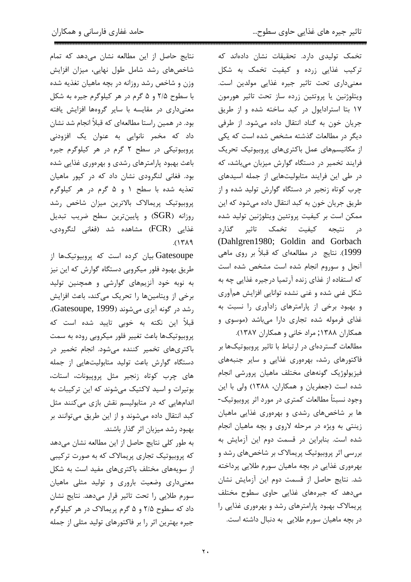تخمک تولیدی دارد. تحقیقات نشان دادهاند که ترکیب غذایی زرده و کیفیت تخمک به شکل معنىدارى تحت تاثير جيره غذايي مولدين است. ويتلوژنين يا پروتئين زرده ساز تحت تاثير هورمون ١٧ بتا استرادايول در كبد ساخته شده و از طريق جریان خون به گناد انتقال داده میشود. از طرفی دیگر در مطالعات گذشته مشخص شده است که یکی از مکانیسمهای عمل باکتریهای پروبیوتیک تحریک فرایند تخمیر در دستگاه گوارش میزبان میباشد، که در طی این فرایند متابولیتهایی از جمله اسیدهای چرب کوتاه زنجیر در دستگاه گوارش تولید شده و از طريق جريان خون به كبد انتقال داده مي شود كه اين ممکن است بر کیفیت پروتئین ویتلوژنین تولید شده در نتیجه کیفیت تخمک تاثیر گذارد (Dahlgren1980; Goldin and Gorbach 1999). نتایج در مطالعهای که قبلاً بر روی ماهی آنجل و سوروم انجام شده است مشخص شده است که استفاده از غذای زنده آرتمیا درجیره غذایی چه به شکل غنی شده و غنی نشده توانایی افزایش همآوری و بهبود برخی از پارامترهای زادآوری را نسبت به غذای فرموله شده تجاری دارا میباشد (موسوی و

همکاران ۱۳۸۸; مراد خانی و همکاران ۱۳۸۷). مطالعات گستردهای در ارتباط با تاثیر پروبیوتیکها بر فاکتورهای رشد، بهرهوری غذایی و سایر جنبههای فيزيولوژيک گونههاى مختلف ماهيان پرورشى انجام شده است (جعفریان و همکاران، ۱۳۸۸) ولی با این وجود نسبتاً مطالعات کمتری در مورد اثر پروبیوتیک-ها بر شاخصهای رشدی و بهرهوری غذایی ماهیان زینتی به ویژه در مرحله لاروی و بچه ماهیان انجام شده است. بنابراین در قسمت دوم این آزمایش به بررسی اثر پروبیوتیک پریمالاک بر شاخصهای رشد و بهرهوري غذايي در بچه ماهيان سورم طلايي پرداخته شد. نتايج حاصل از قسمت دوم اين آزمايش نشان می دهد که جیرههای غذایی حاوی سطوح مختلف پریمالاک بهبود پارامترهای رشد و بهرهوری غذایی را در بچه ماهیان سورم طلایی به دنبال داشته است.

نتايج حاصل از اين مطالعه نشان مى دهد كه تمام شاخصهای رشد شامل طول نهایی، میزان افزایش وزن و شاخص رشد روزانه در بچه ماهیان تغذیه شده با سطوح ۲/۵ و ۵ گرم در هر کیلوگرم جیره به شکل معنیداری در مقایسه با سایر گروهها افزایش یافته بود. در همین راستا مطالعهای که قبلاً انجام شد نشان داد که مخمر نانوایی به عنوان یک افزودنی پروبیوتیکی در سطح ۲ گرم در هر کیلوگرم جیره باعث بهبود پارامترهای رشدی و بهرهوری غذایی شده بود. فغانی لنگرودی نشان داد که در کپور ماهیان تعذيه شده با سطح ١ و ۵ گرم در هر كيلوگرم یروبیوتیک پریمالاک بالاترین میزان شاخص رشد روزانه (SGR) و پایینترین سطح ضریب تبدیل غذايي (FCR) مشاهده شد (فغاني لنگرودي،  $(1719$ 

Gatesoupe بیان کرده است که پروبیوتیکها از طریق بهبود فلور میکروبی دستگاه گوارش که این نیز به نوبه خود آنزیمهای گوارشی و همچنین تولید برخی از ویتامینها را تحریک میکند، باعث افزایش رشد در گونه آبزی میشوند (Gatesoupe, 1999). قبلاً این نکته به خوبی تایید شده است که پروبیوتیکها باعث تغییر فلور میکروبی روده به سمت باکتریهای تخمیر کننده میشود. انجام تخمیر در دستگاه گوارش باعث تولید متابولیتهایی از جمله های چرب کوتاه زنجیر مثل پروییونات، استات، بوتیرات و اسید لاکتیک مے شوند که این ترکیبات به اندامهایی که در متابولیسم نقش بازی میکنند مثل کبد انتقال داده میشوند و از این طریق میتوانند بر بهبود رشد میزبان اثر گذار باشند.

به طور كلي نتايج حاصل از اين مطالعه نشان مى دهد که پروبیوتیک تجاری پریمالاک که به صورت ترکیبی از سویههای مختلف باکتریهای مفید است به شکل معنیداری وضعیت باروری و تولید مثلی ماهیان سورم طلایی را تحت تاثیر قرار میدهد. نتایج نشان داد که سطوح ۲/۵ و ۵ گرم پريمالاک در هر کيلوگرم جیره بهترین اثر را بر فاکتورهای تولید مثلی از جمله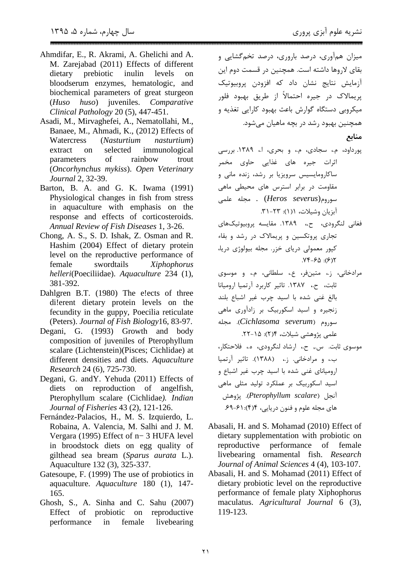- Ahmdifar, E., R. Akrami, A. Ghelichi and A. M. Zarejabad (2011) Effects of different inulin prebiotic levels dietary  $\alpha$ bloodserum enzymes, hematologic, and biochemical parameters of great sturgeon huso) juveniles. Comparative  $(Huso)$ Clinical Pathology 20 (5), 447-451.
- Asadi, M., Mirvaghefei, A., Nematollahi, M., Banaee, M., Ahmadi, K., (2012) Effects of Watercress (Nasturtium nasturtium) extract selected immunological  $\alpha$ of rainbow parameters trout (Oncorhynchus mykiss). Open Veterinary Journal 2, 32-39.
- Barton, B. A. and G. K. Iwama (1991) Physiological changes in fish from stress in aquaculture with emphasis on the response and effects of corticosteroids. Annual Review of Fish Diseases 1, 3-26.
- Chong, A. S., S. D. Ishak, Z. Osman and R. Hashim (2004) Effect of dietary protein level on the reproductive performance of female swordtails Xiphophorus helleri(Poeciliidae). Aquaculture 234 (1), 381-392.
- Dahlgren B.T. (1980) The elects of three di!erent dietary protein levels on the fecundity in the guppy, Poecilia reticulate (Peters). Journal of Fish Biology16, 83-97.
- Degani, G. (1993) Growth and body composition of juveniles of Pterophyllum scalare (Lichtenstein)(Pisces; Cichlidae) at different densities and diets. Aquaculture Research 24 (6), 725-730.
- Degani, G. and Y. Yehuda (2011) Effects of diets on reproduction of angelfish, Pterophyllum scalare (Cichlidae). Indian Journal of Fisheries 43 (2), 121-126.
- Fernández-Palacios, H., M. S. Izquierdo, L. Robaina, A. Valencia, M. Salhi and J. M. Vergara (1995) Effect of n-3 HUFA level in broodstock diets on egg quality of gilthead sea bream (Sparus aurata L.). Aquaculture 132 (3), 325-337.
- Gatesoupe, F. (1999) The use of probiotics in aquaculture. Aquaculture 180 (1), 147-165.
- Ghosh, S., A. Sinha and C. Sahu (2007) Effect of probiotic on reproductive performance  $in$ female livebearing

میزان همآوری، درصد باروری، درصد تخمگشایی و بقای لاروها داشته است. همچنین در قسمت دوم این ۔<br>آزمایش نتایج نشان داد که افزودن پروبیوتیک پريمالاک در جيره احتمالاً از طريق بهبود فلور .<br>میکروبی دستگاه گوارش باعث بهبود کارایی تغذیه و همچنین بهبود رشد در بچه ماهیان می شود.

منابع

- پورداود، م.، سجادی، م.، و بحری، ا.، ۱۳۸۹. بررسی اثرات جیرہ های غذایی حاوی مخمر ساکارومایسیس سرویزیا بر رشد، زنده مانی و ۔<br>مقاومت در برابر استرس های محیطی ماهی  $(Heros \; severus)$ وم (Heros severus) . آیزیان وشبلات، ۱(۱): ۲۳–۳۱.
- فغانس لنگرودي، ح.، ١٣٨٩. مقايسه بروپيوتيکهاي تجاری پروتکسین و پریمالاک در رشد و بقاء کپور معمولی دریای خزر. مجله بیولوژی دریا،  $Yf - F\Delta$ : (۶)٢
- مرادخاني، ز.، متينفر، ع.، سلطاني، م.، و موسوى ثابت، ح.، ١٣٨٧. تاثير كاربرد آرتميا اروميانا بالغ غنی شده با اسید چرب غیر اشباع بلند زنجیره و اسید اسکوربیک بر زادآوری ماهی سوروم (Cichlasoma severum). محله علمي يژوهشي شيلات، ۲۴-۲۱. موسوى ثابت. س., ح.، ارشاد لنگرودى، ه.، فلاحتكار، ب.، و مرادخانی. ز.، (١٣٨٨). تاثير آرتميا ارومیانای غنی شده با اسید چرب غیر اشباع و اسید اسکوربیک بر عملکرد تولید مثلی ماهی آنجا , Pterophyllum scalare). پژوهش های مجله علوم و فنون دریایی، ۴(۴): ۶۹-۶۹.
- Abasali, H. and S. Mohamad (2010) Effect of dietary supplementation with probiotic on reproductive performance of female livebearing ornamental fish. Research Journal of Animal Sciences 4 (4), 103-107.
- Abasali, H. and S. Mohamad (2011) Effect of dietary probiotic level on the reproductive performance of female platy Xiphophorus maculatus. Agricultural Journal 6 (3), 119-123.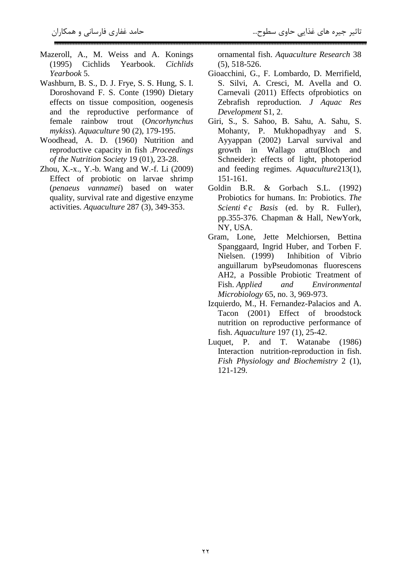- Mazeroll, A., M. Weiss and A. Konings (1995) Cichlids Yearbook. *Cichlids Yearbook* 5.
- Washburn, B. S., D. J. Frye, S. S. Hung, S. I. Doroshovand F. S. Conte (1990) Dietary effects on tissue composition, oogenesis and the reproductive performance of female rainbow trout (*Oncorhynchus mykiss*). *Aquaculture* 90 (2), 179-195.
- Woodhead, A. D. (1960) Nutrition and reproductive capacity in fish .*Proceedings of the Nutrition Society* 19 (01), 23-28.
- Zhou, X.-x., Y.-b. Wang and W.-f. Li (2009) Effect of probiotic on larvae shrimp (*penaeus vannamei*) based on water quality, survival rate and digestive enzyme activities. *Aquaculture* 287 (3), 349-353.

ornamental fish. *Aquaculture Research* 38 (5), 518-526.

- Gioacchini, G., F. Lombardo, D. Merrifield, S. Silvi, A. Cresci, M. Avella and O. Carnevali (2011) Effects ofprobiotics on Zebrafish reproduction*. J Aquac Res Development* S1, 2.
- Giri, S., S. Sahoo, B. Sahu, A. Sahu, S. Mohanty, P. Mukhopadhyay and S. Ayyappan (2002) Larval survival and growth in Wallago attu(Bloch and Schneider): effects of light, photoperiod and feeding regimes. *Aquaculture*213(1), 151-161.
- Goldin B.R. & Gorbach S.L. (1992) Probiotics for humans. In: Probiotics. *The Scienti*¢*c Basis* (ed. by R. Fuller), pp.355-376. Chapman & Hall, NewYork, NY, USA.
- Gram, Lone, Jette Melchiorsen, Bettina Spanggaard, Ingrid Huber, and Torben F. Nielsen. (1999) Inhibition of Vibrio anguillarum byPseudomonas fluorescens AH2, a Possible Probiotic Treatment of Fish. *Applied and Environmental Microbiology* 65, no. 3, 969-973.
- Izquierdo, M., H. Fernandez-Palacios and A. Tacon (2001) Effect of broodstock nutrition on reproductive performance of fish. *Aquaculture* 197 (1), 25-42.
- Luquet, P. and T. Watanabe (1986) Interaction nutrition-reproduction in fish. *Fish Physiology and Biochemistry* 2 (1), 121-129.